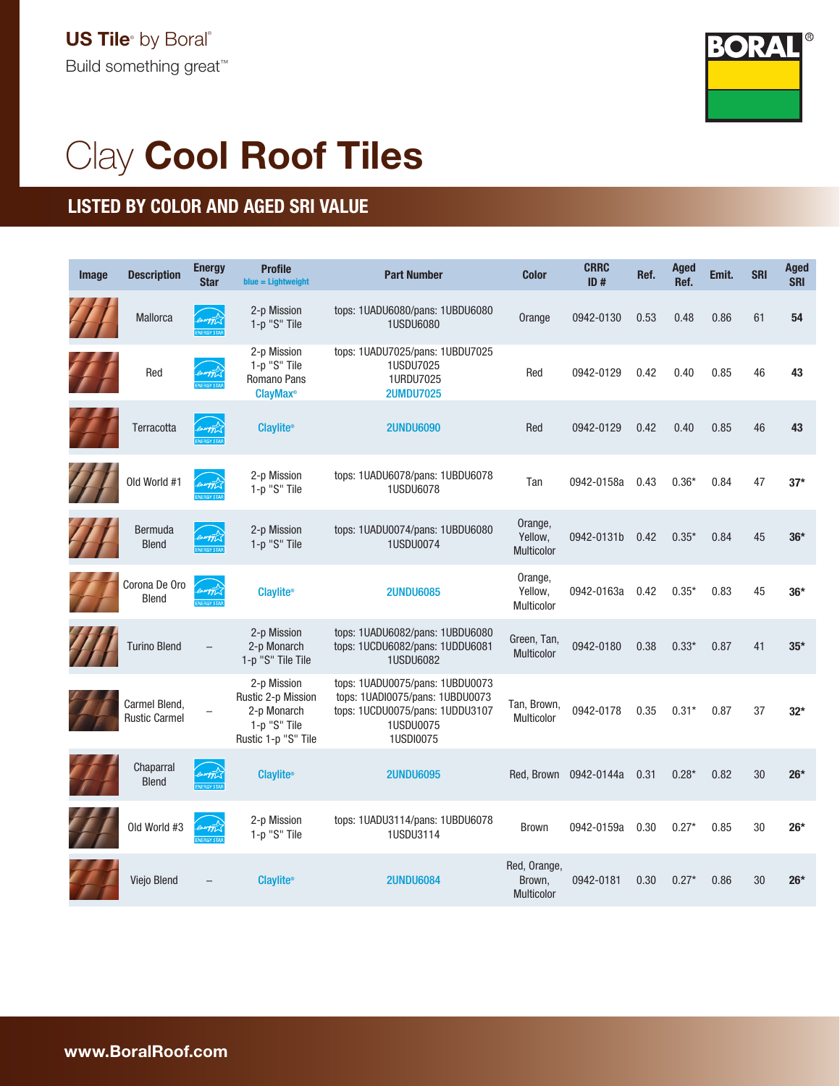

## Clay Cool Roof Tiles

## LISTED BY COLOR AND AGED SRI VALUE

| Image | <b>Description</b>                    | <b>Energy</b><br><b>Star</b> | <b>Profile</b><br>$blue = Lightweight$                                                  | <b>Part Number</b>                                                                                                              | <b>Color</b>                                | <b>CRRC</b><br>ID#    | Ref. | <b>Aged</b><br>Ref. | Emit. | <b>SRI</b> | <b>Aged</b><br><b>SRI</b> |
|-------|---------------------------------------|------------------------------|-----------------------------------------------------------------------------------------|---------------------------------------------------------------------------------------------------------------------------------|---------------------------------------------|-----------------------|------|---------------------|-------|------------|---------------------------|
|       | Mallorca                              |                              | 2-p Mission<br>1-p "S" Tile                                                             | tops: 1UADU6080/pans: 1UBDU6080<br><b>1USDU6080</b>                                                                             | Orange                                      | 0942-0130             | 0.53 | 0.48                | 0.86  | 61         | 54                        |
|       | Red                                   |                              | 2-p Mission<br>1-p "S" Tile<br>Romano Pans<br><b>ClayMax</b> <sup>®</sup>               | tops: 1UADU7025/pans: 1UBDU7025<br>1USDU7025<br>1URDU7025<br><b>2UMDU7025</b>                                                   | Red                                         | 0942-0129             | 0.42 | 0.40                | 0.85  | 46         | 43                        |
|       | Terracotta                            | energy                       | <b>Claylite®</b>                                                                        | <b>2UNDU6090</b>                                                                                                                | Red                                         | 0942-0129             | 0.42 | 0.40                | 0.85  | 46         | 43                        |
|       | Old World #1                          | energy                       | 2-p Mission<br>1-p "S" Tile                                                             | tops: 1UADU6078/pans: 1UBDU6078<br>1USDU6078                                                                                    | Tan                                         | 0942-0158a            | 0.43 | $0.36*$             | 0.84  | 47         | $37*$                     |
|       | <b>Bermuda</b><br><b>Blend</b>        |                              | 2-p Mission<br>1-p "S" Tile                                                             | tops: 1UADU0074/pans: 1UBDU6080<br>1USDU0074                                                                                    | Orange,<br>Yellow,<br>Multicolor            | 0942-0131b            | 0.42 | $0.35*$             | 0.84  | 45         | $36*$                     |
|       | Corona De Oro<br><b>Blend</b>         | mergyt                       | <b>Claylite®</b>                                                                        | <b>2UNDU6085</b>                                                                                                                | Orange,<br>Yellow,<br>Multicolor            | 0942-0163a            | 0.42 | $0.35*$             | 0.83  | 45         | $36*$                     |
|       | <b>Turino Blend</b>                   |                              | 2-p Mission<br>2-p Monarch<br>1-p "S" Tile Tile                                         | tops: 1UADU6082/pans: 1UBDU6080<br>tops: 1UCDU6082/pans: 1UDDU6081<br><b>1USDU6082</b>                                          | Green, Tan,<br><b>Multicolor</b>            | 0942-0180             | 0.38 | $0.33*$             | 0.87  | 41         | $35*$                     |
|       | Carmel Blend,<br><b>Rustic Carmel</b> |                              | 2-p Mission<br>Rustic 2-p Mission<br>2-p Monarch<br>1-p "S" Tile<br>Rustic 1-p "S" Tile | tops: 1UADU0075/pans: 1UBDU0073<br>tops: 1UADI0075/pans: 1UBDU0073<br>tops: 1UCDU0075/pans: 1UDDU3107<br>1USDU0075<br>1USDI0075 | Tan, Brown,<br>Multicolor                   | 0942-0178             | 0.35 | $0.31*$             | 0.87  | 37         | $32*$                     |
|       | Chaparral<br><b>Blend</b>             |                              | <b>Claylite®</b>                                                                        | <b>2UNDU6095</b>                                                                                                                |                                             | Red, Brown 0942-0144a | 0.31 | $0.28*$             | 0.82  | 30         | $26*$                     |
|       | Old World #3                          | neogypi                      | 2-p Mission<br>1-p "S" Tile                                                             | tops: 1UADU3114/pans: 1UBDU6078<br>1USDU3114                                                                                    | <b>Brown</b>                                | 0942-0159a            | 0.30 | $0.27*$             | 0.85  | 30         | 26*                       |
|       | <b>Vieio Blend</b>                    |                              | <b>Claylite®</b>                                                                        | <b>2UNDU6084</b>                                                                                                                | Red, Orange,<br>Brown,<br><b>Multicolor</b> | 0942-0181             | 0.30 | $0.27*$             | 0.86  | 30         | $26*$                     |